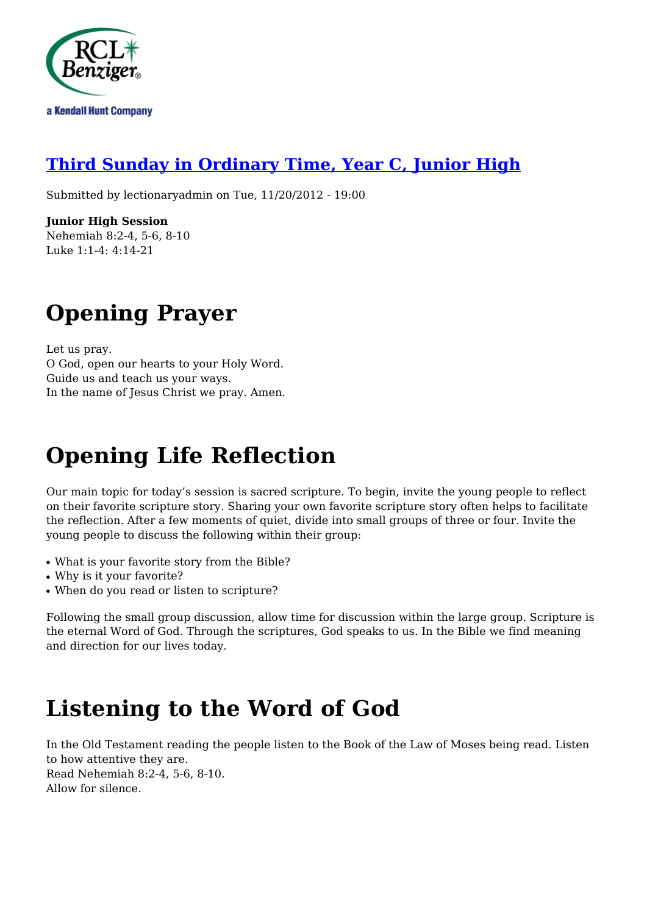

#### **[Third Sunday in Ordinary Time, Year C, Junior High](http://rclblectionary.com/third-sunday-ordinary-time-year-c-junior-high)**

Submitted by lectionaryadmin on Tue, 11/20/2012 - 19:00

**Junior High Session** Nehemiah 8:2-4, 5-6, 8-10 Luke 1:1-4: 4:14-21

## **Opening Prayer**

Let us pray. O God, open our hearts to your Holy Word. Guide us and teach us your ways. In the name of Jesus Christ we pray. Amen.

# **Opening Life Reflection**

Our main topic for today's session is sacred scripture. To begin, invite the young people to reflect on their favorite scripture story. Sharing your own favorite scripture story often helps to facilitate the reflection. After a few moments of quiet, divide into small groups of three or four. Invite the young people to discuss the following within their group:

- What is your favorite story from the Bible?
- Why is it your favorite?
- When do you read or listen to scripture?

Following the small group discussion, allow time for discussion within the large group. Scripture is the eternal Word of God. Through the scriptures, God speaks to us. In the Bible we find meaning and direction for our lives today.

### **Listening to the Word of God**

In the Old Testament reading the people listen to the Book of the Law of Moses being read. Listen to how attentive they are. Read Nehemiah 8:2-4, 5-6, 8-10. Allow for silence.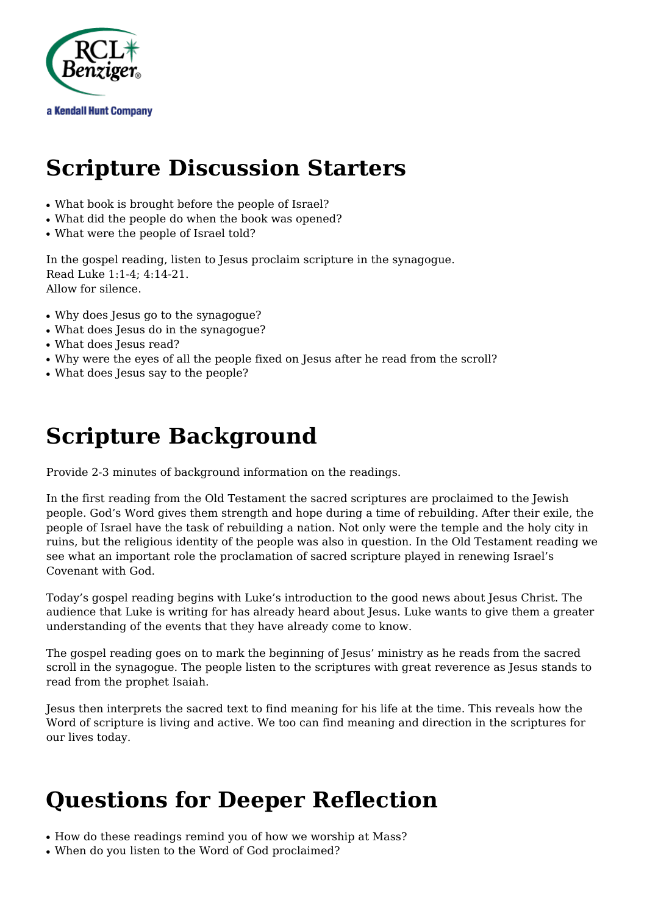

#### **Scripture Discussion Starters**

- What book is brought before the people of Israel?
- What did the people do when the book was opened?
- What were the people of Israel told?

In the gospel reading, listen to Jesus proclaim scripture in the synagogue. Read Luke 1:1-4; 4:14-21. Allow for silence.

- Why does Jesus go to the synagogue?
- What does Jesus do in the synagogue?
- What does Jesus read?
- Why were the eyes of all the people fixed on Jesus after he read from the scroll?
- What does Jesus say to the people?

#### **Scripture Background**

Provide 2-3 minutes of background information on the readings.

In the first reading from the Old Testament the sacred scriptures are proclaimed to the Jewish people. God's Word gives them strength and hope during a time of rebuilding. After their exile, the people of Israel have the task of rebuilding a nation. Not only were the temple and the holy city in ruins, but the religious identity of the people was also in question. In the Old Testament reading we see what an important role the proclamation of sacred scripture played in renewing Israel's Covenant with God.

Today's gospel reading begins with Luke's introduction to the good news about Jesus Christ. The audience that Luke is writing for has already heard about Jesus. Luke wants to give them a greater understanding of the events that they have already come to know.

The gospel reading goes on to mark the beginning of Jesus' ministry as he reads from the sacred scroll in the synagogue. The people listen to the scriptures with great reverence as Jesus stands to read from the prophet Isaiah.

Jesus then interprets the sacred text to find meaning for his life at the time. This reveals how the Word of scripture is living and active. We too can find meaning and direction in the scriptures for our lives today.

### **Questions for Deeper Reflection**

- How do these readings remind you of how we worship at Mass?
- When do you listen to the Word of God proclaimed?